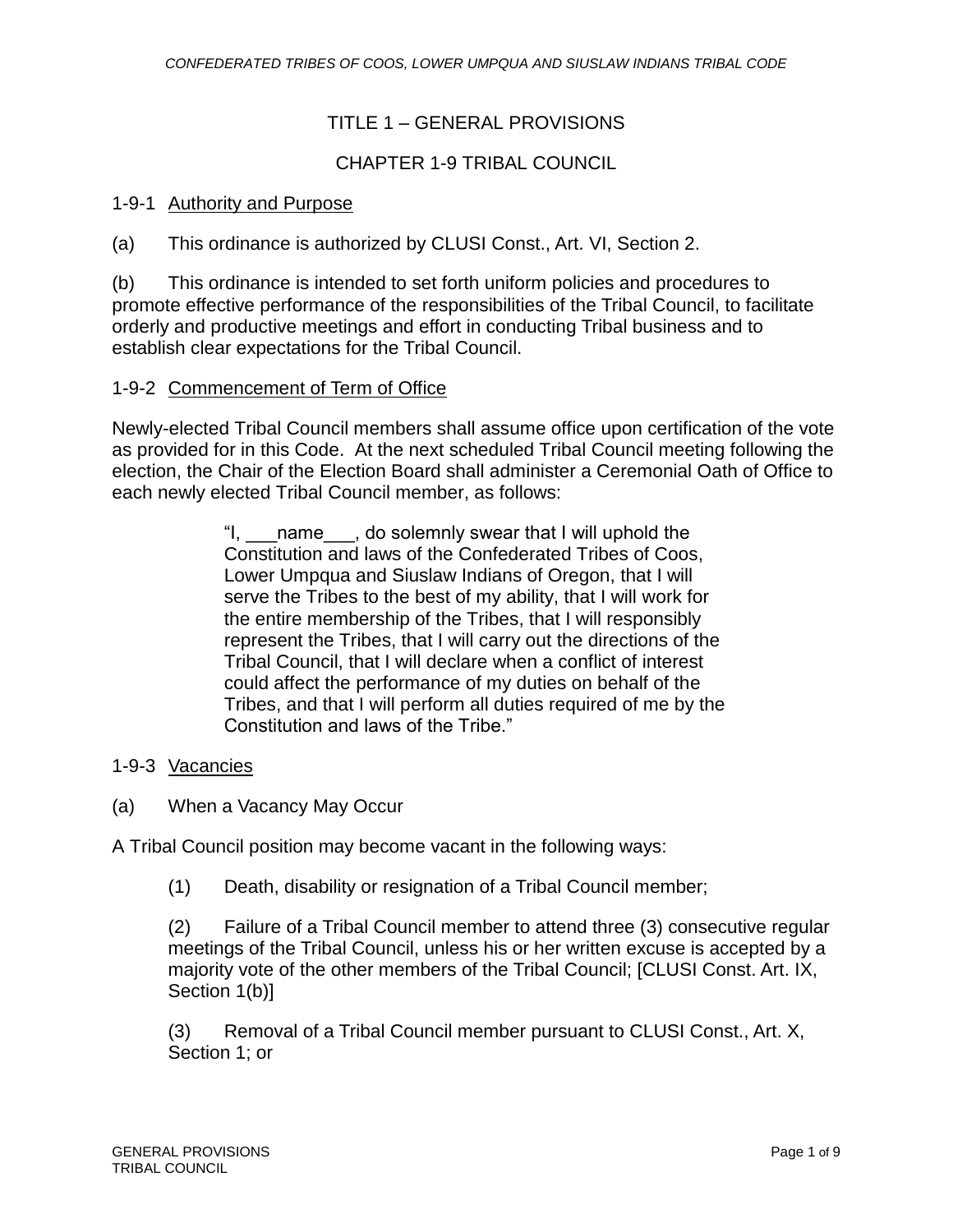## TITLE 1 – GENERAL PROVISIONS

## CHAPTER 1-9 TRIBAL COUNCIL

## 1-9-1 Authority and Purpose

(a) This ordinance is authorized by CLUSI Const., Art. VI, Section 2.

(b) This ordinance is intended to set forth uniform policies and procedures to promote effective performance of the responsibilities of the Tribal Council, to facilitate orderly and productive meetings and effort in conducting Tribal business and to establish clear expectations for the Tribal Council.

### 1-9-2 Commencement of Term of Office

Newly-elected Tribal Council members shall assume office upon certification of the vote as provided for in this Code. At the next scheduled Tribal Council meeting following the election, the Chair of the Election Board shall administer a Ceremonial Oath of Office to each newly elected Tribal Council member, as follows:

> "I, \_\_\_name\_\_\_, do solemnly swear that I will uphold the Constitution and laws of the Confederated Tribes of Coos, Lower Umpqua and Siuslaw Indians of Oregon, that I will serve the Tribes to the best of my ability, that I will work for the entire membership of the Tribes, that I will responsibly represent the Tribes, that I will carry out the directions of the Tribal Council, that I will declare when a conflict of interest could affect the performance of my duties on behalf of the Tribes, and that I will perform all duties required of me by the Constitution and laws of the Tribe."

### 1-9-3 Vacancies

(a) When a Vacancy May Occur

A Tribal Council position may become vacant in the following ways:

(1) Death, disability or resignation of a Tribal Council member;

(2) Failure of a Tribal Council member to attend three (3) consecutive regular meetings of the Tribal Council, unless his or her written excuse is accepted by a majority vote of the other members of the Tribal Council; [CLUSI Const. Art. IX, Section 1(b)]

(3) Removal of a Tribal Council member pursuant to CLUSI Const., Art. X, Section 1; or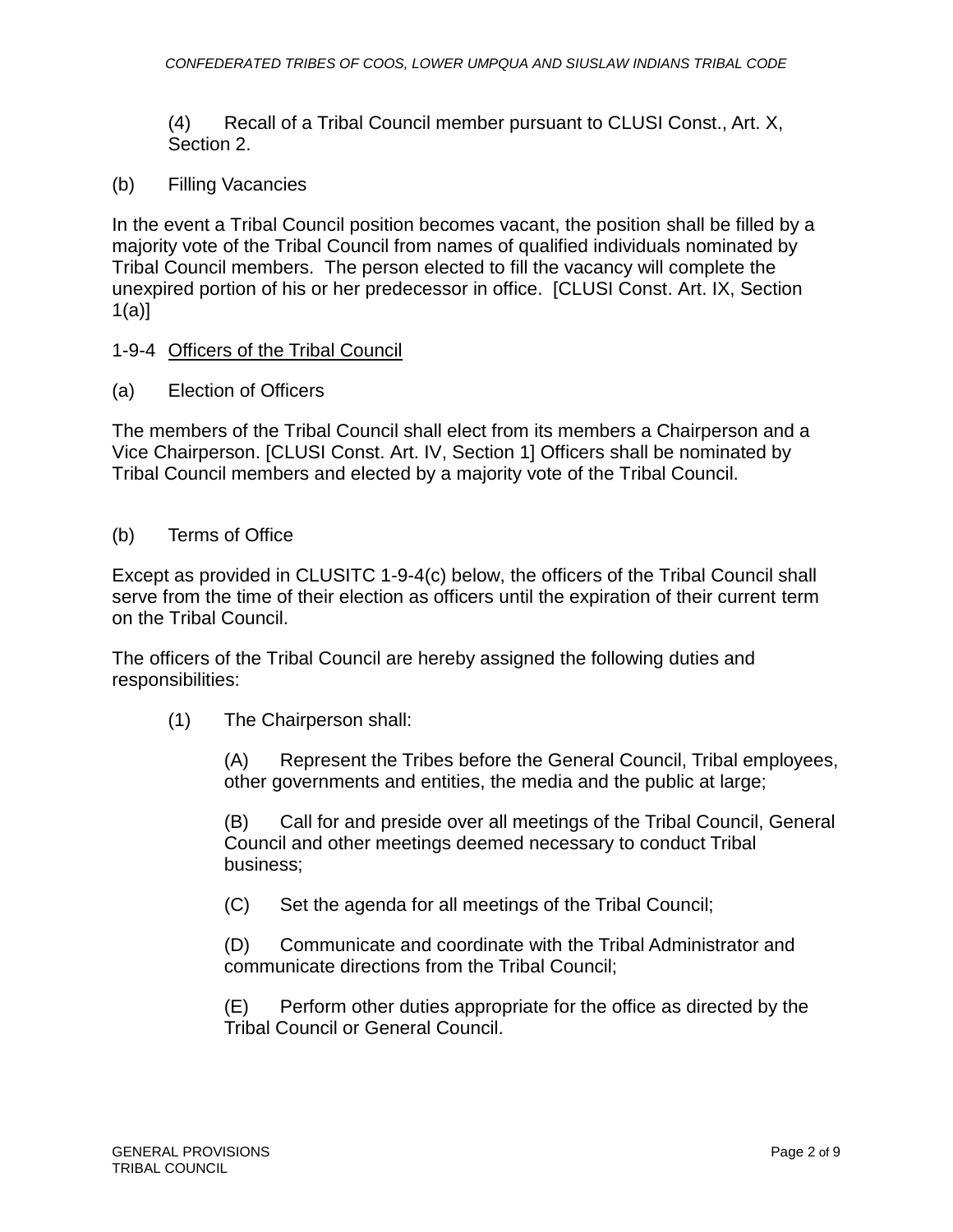(4) Recall of a Tribal Council member pursuant to CLUSI Const., Art. X, Section 2.

(b) Filling Vacancies

In the event a Tribal Council position becomes vacant, the position shall be filled by a majority vote of the Tribal Council from names of qualified individuals nominated by Tribal Council members. The person elected to fill the vacancy will complete the unexpired portion of his or her predecessor in office. [CLUSI Const. Art. IX, Section 1(a)]

## 1-9-4 Officers of the Tribal Council

(a) Election of Officers

The members of the Tribal Council shall elect from its members a Chairperson and a Vice Chairperson. [CLUSI Const. Art. IV, Section 1] Officers shall be nominated by Tribal Council members and elected by a majority vote of the Tribal Council.

(b) Terms of Office

Except as provided in CLUSITC 1-9-4(c) below, the officers of the Tribal Council shall serve from the time of their election as officers until the expiration of their current term on the Tribal Council.

The officers of the Tribal Council are hereby assigned the following duties and responsibilities:

(1) The Chairperson shall:

(A) Represent the Tribes before the General Council, Tribal employees, other governments and entities, the media and the public at large;

(B) Call for and preside over all meetings of the Tribal Council, General Council and other meetings deemed necessary to conduct Tribal business;

(C) Set the agenda for all meetings of the Tribal Council;

(D) Communicate and coordinate with the Tribal Administrator and communicate directions from the Tribal Council;

(E) Perform other duties appropriate for the office as directed by the Tribal Council or General Council.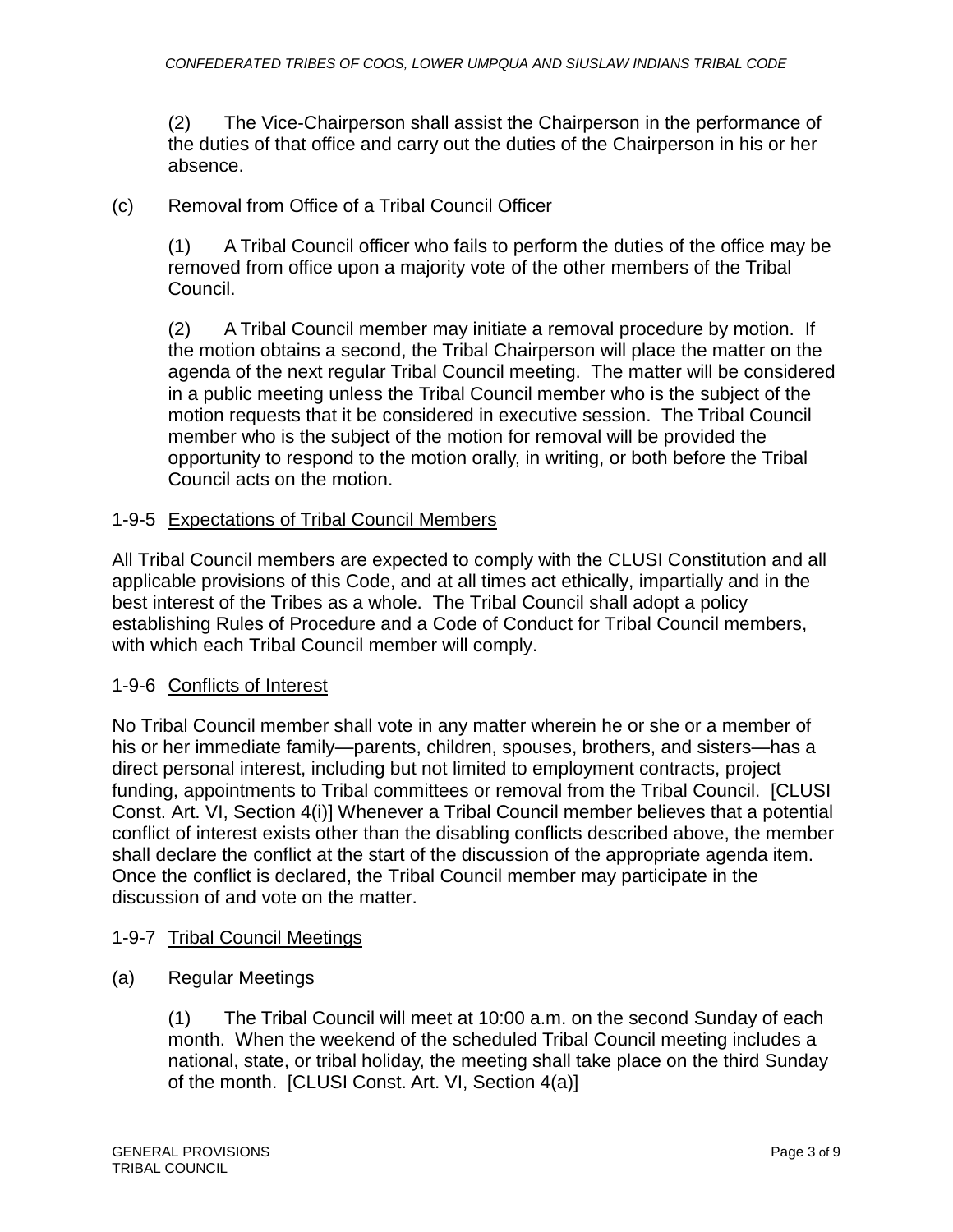(2) The Vice-Chairperson shall assist the Chairperson in the performance of the duties of that office and carry out the duties of the Chairperson in his or her absence.

## (c) Removal from Office of a Tribal Council Officer

(1) A Tribal Council officer who fails to perform the duties of the office may be removed from office upon a majority vote of the other members of the Tribal Council.

(2) A Tribal Council member may initiate a removal procedure by motion. If the motion obtains a second, the Tribal Chairperson will place the matter on the agenda of the next regular Tribal Council meeting. The matter will be considered in a public meeting unless the Tribal Council member who is the subject of the motion requests that it be considered in executive session. The Tribal Council member who is the subject of the motion for removal will be provided the opportunity to respond to the motion orally, in writing, or both before the Tribal Council acts on the motion.

## 1-9-5 Expectations of Tribal Council Members

All Tribal Council members are expected to comply with the CLUSI Constitution and all applicable provisions of this Code, and at all times act ethically, impartially and in the best interest of the Tribes as a whole. The Tribal Council shall adopt a policy establishing Rules of Procedure and a Code of Conduct for Tribal Council members, with which each Tribal Council member will comply.

### 1-9-6 Conflicts of Interest

No Tribal Council member shall vote in any matter wherein he or she or a member of his or her immediate family—parents, children, spouses, brothers, and sisters—has a direct personal interest, including but not limited to employment contracts, project funding, appointments to Tribal committees or removal from the Tribal Council. [CLUSI Const. Art. VI, Section 4(i)] Whenever a Tribal Council member believes that a potential conflict of interest exists other than the disabling conflicts described above, the member shall declare the conflict at the start of the discussion of the appropriate agenda item. Once the conflict is declared, the Tribal Council member may participate in the discussion of and vote on the matter.

### 1-9-7 Tribal Council Meetings

(a) Regular Meetings

(1) The Tribal Council will meet at 10:00 a.m. on the second Sunday of each month. When the weekend of the scheduled Tribal Council meeting includes a national, state, or tribal holiday, the meeting shall take place on the third Sunday of the month. [CLUSI Const. Art. VI, Section 4(a)]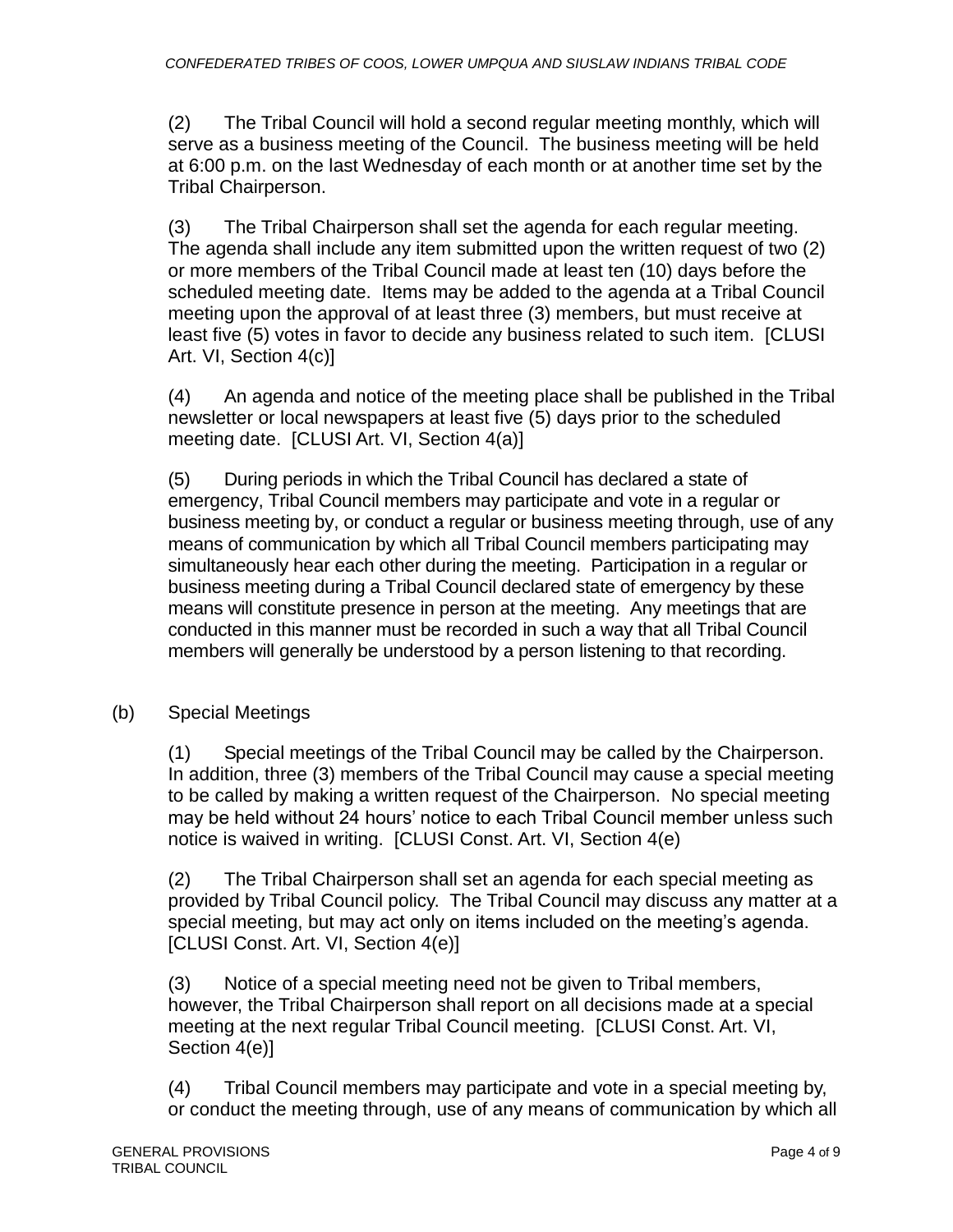(2) The Tribal Council will hold a second regular meeting monthly, which will serve as a business meeting of the Council. The business meeting will be held at 6:00 p.m. on the last Wednesday of each month or at another time set by the Tribal Chairperson.

(3) The Tribal Chairperson shall set the agenda for each regular meeting. The agenda shall include any item submitted upon the written request of two (2) or more members of the Tribal Council made at least ten (10) days before the scheduled meeting date. Items may be added to the agenda at a Tribal Council meeting upon the approval of at least three (3) members, but must receive at least five (5) votes in favor to decide any business related to such item. [CLUSI Art. VI, Section 4(c)]

(4) An agenda and notice of the meeting place shall be published in the Tribal newsletter or local newspapers at least five (5) days prior to the scheduled meeting date. [CLUSI Art. VI, Section 4(a)]

(5) During periods in which the Tribal Council has declared a state of emergency, Tribal Council members may participate and vote in a regular or business meeting by, or conduct a regular or business meeting through, use of any means of communication by which all Tribal Council members participating may simultaneously hear each other during the meeting. Participation in a regular or business meeting during a Tribal Council declared state of emergency by these means will constitute presence in person at the meeting. Any meetings that are conducted in this manner must be recorded in such a way that all Tribal Council members will generally be understood by a person listening to that recording.

(b) Special Meetings

(1) Special meetings of the Tribal Council may be called by the Chairperson. In addition, three (3) members of the Tribal Council may cause a special meeting to be called by making a written request of the Chairperson. No special meeting may be held without 24 hours' notice to each Tribal Council member unless such notice is waived in writing. [CLUSI Const. Art. VI, Section 4(e)

(2) The Tribal Chairperson shall set an agenda for each special meeting as provided by Tribal Council policy. The Tribal Council may discuss any matter at a special meeting, but may act only on items included on the meeting's agenda. [CLUSI Const. Art. VI, Section 4(e)]

(3) Notice of a special meeting need not be given to Tribal members, however, the Tribal Chairperson shall report on all decisions made at a special meeting at the next regular Tribal Council meeting. [CLUSI Const. Art. VI, Section 4(e)]

(4) Tribal Council members may participate and vote in a special meeting by, or conduct the meeting through, use of any means of communication by which all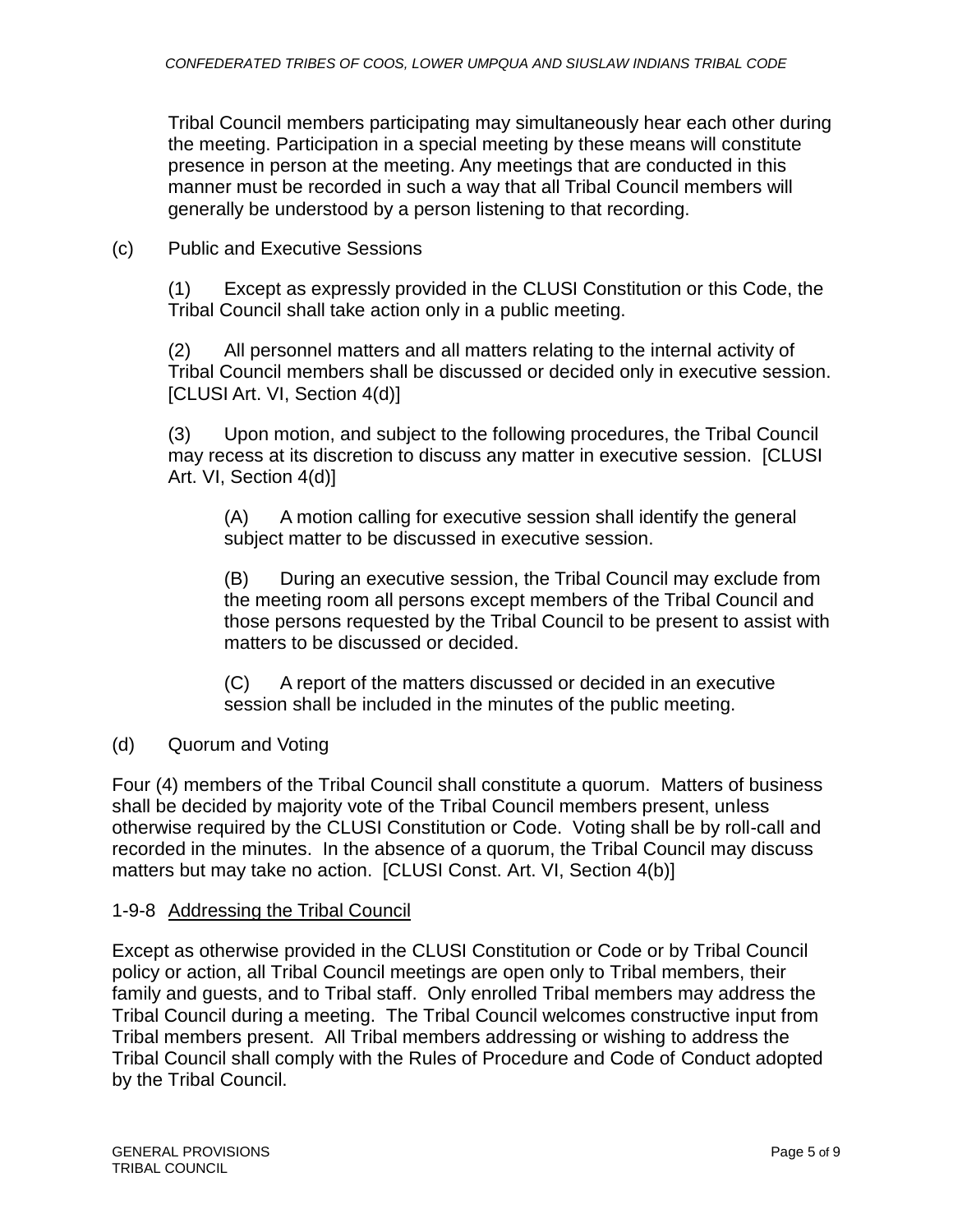Tribal Council members participating may simultaneously hear each other during the meeting. Participation in a special meeting by these means will constitute presence in person at the meeting. Any meetings that are conducted in this manner must be recorded in such a way that all Tribal Council members will generally be understood by a person listening to that recording.

(c) Public and Executive Sessions

(1) Except as expressly provided in the CLUSI Constitution or this Code, the Tribal Council shall take action only in a public meeting.

(2) All personnel matters and all matters relating to the internal activity of Tribal Council members shall be discussed or decided only in executive session. [CLUSI Art. VI, Section 4(d)]

(3) Upon motion, and subject to the following procedures, the Tribal Council may recess at its discretion to discuss any matter in executive session. [CLUSI Art. VI, Section 4(d)]

(A) A motion calling for executive session shall identify the general subject matter to be discussed in executive session.

(B) During an executive session, the Tribal Council may exclude from the meeting room all persons except members of the Tribal Council and those persons requested by the Tribal Council to be present to assist with matters to be discussed or decided.

(C) A report of the matters discussed or decided in an executive session shall be included in the minutes of the public meeting.

(d) Quorum and Voting

Four (4) members of the Tribal Council shall constitute a quorum. Matters of business shall be decided by majority vote of the Tribal Council members present, unless otherwise required by the CLUSI Constitution or Code. Voting shall be by roll-call and recorded in the minutes. In the absence of a quorum, the Tribal Council may discuss matters but may take no action. [CLUSI Const. Art. VI, Section 4(b)]

## 1-9-8 Addressing the Tribal Council

Except as otherwise provided in the CLUSI Constitution or Code or by Tribal Council policy or action, all Tribal Council meetings are open only to Tribal members, their family and guests, and to Tribal staff. Only enrolled Tribal members may address the Tribal Council during a meeting. The Tribal Council welcomes constructive input from Tribal members present. All Tribal members addressing or wishing to address the Tribal Council shall comply with the Rules of Procedure and Code of Conduct adopted by the Tribal Council.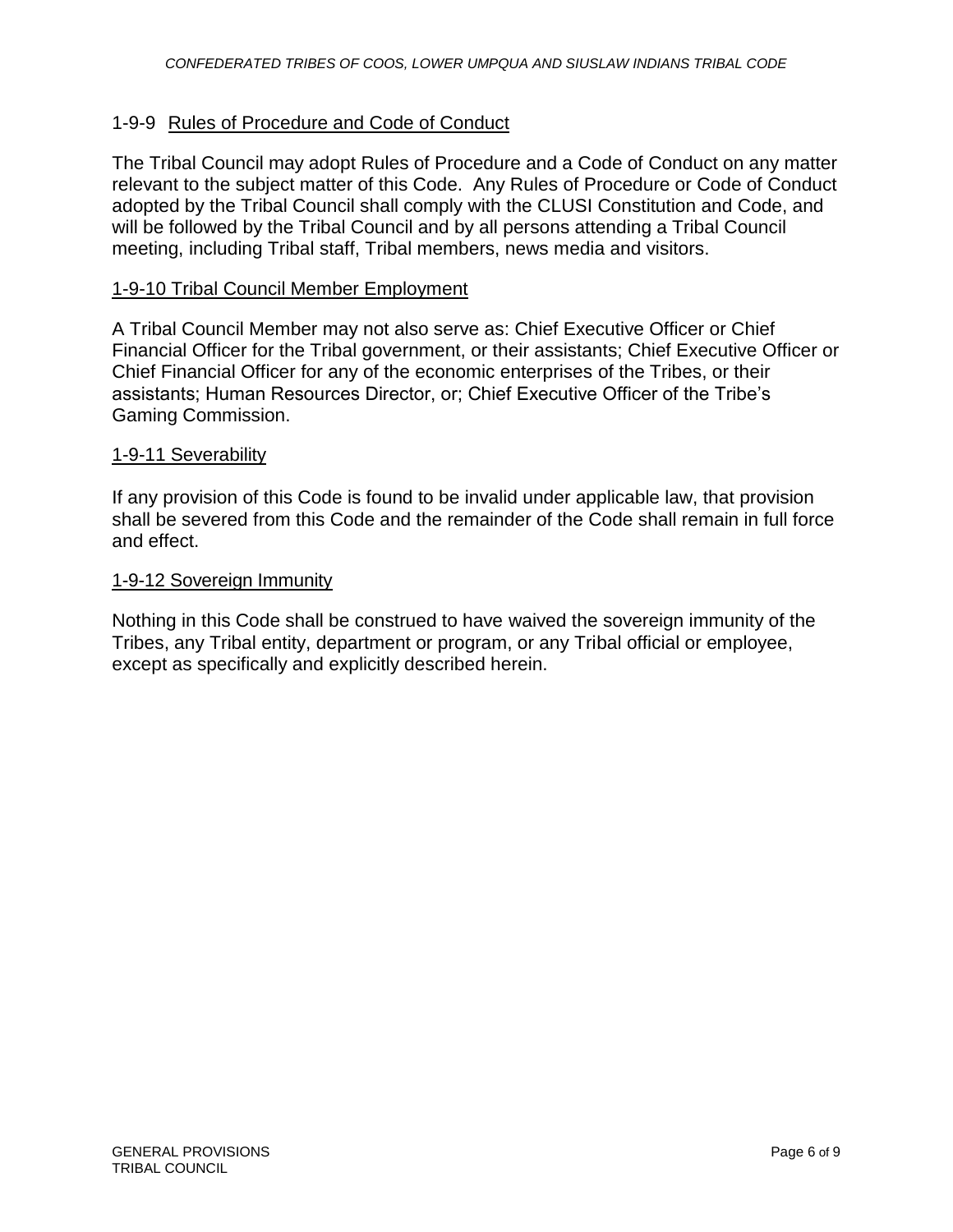## 1-9-9 Rules of Procedure and Code of Conduct

The Tribal Council may adopt Rules of Procedure and a Code of Conduct on any matter relevant to the subject matter of this Code. Any Rules of Procedure or Code of Conduct adopted by the Tribal Council shall comply with the CLUSI Constitution and Code, and will be followed by the Tribal Council and by all persons attending a Tribal Council meeting, including Tribal staff, Tribal members, news media and visitors.

### 1-9-10 Tribal Council Member Employment

A Tribal Council Member may not also serve as: Chief Executive Officer or Chief Financial Officer for the Tribal government, or their assistants; Chief Executive Officer or Chief Financial Officer for any of the economic enterprises of the Tribes, or their assistants; Human Resources Director, or; Chief Executive Officer of the Tribe's Gaming Commission.

#### 1-9-11 Severability

If any provision of this Code is found to be invalid under applicable law, that provision shall be severed from this Code and the remainder of the Code shall remain in full force and effect.

#### 1-9-12 Sovereign Immunity

Nothing in this Code shall be construed to have waived the sovereign immunity of the Tribes, any Tribal entity, department or program, or any Tribal official or employee, except as specifically and explicitly described herein.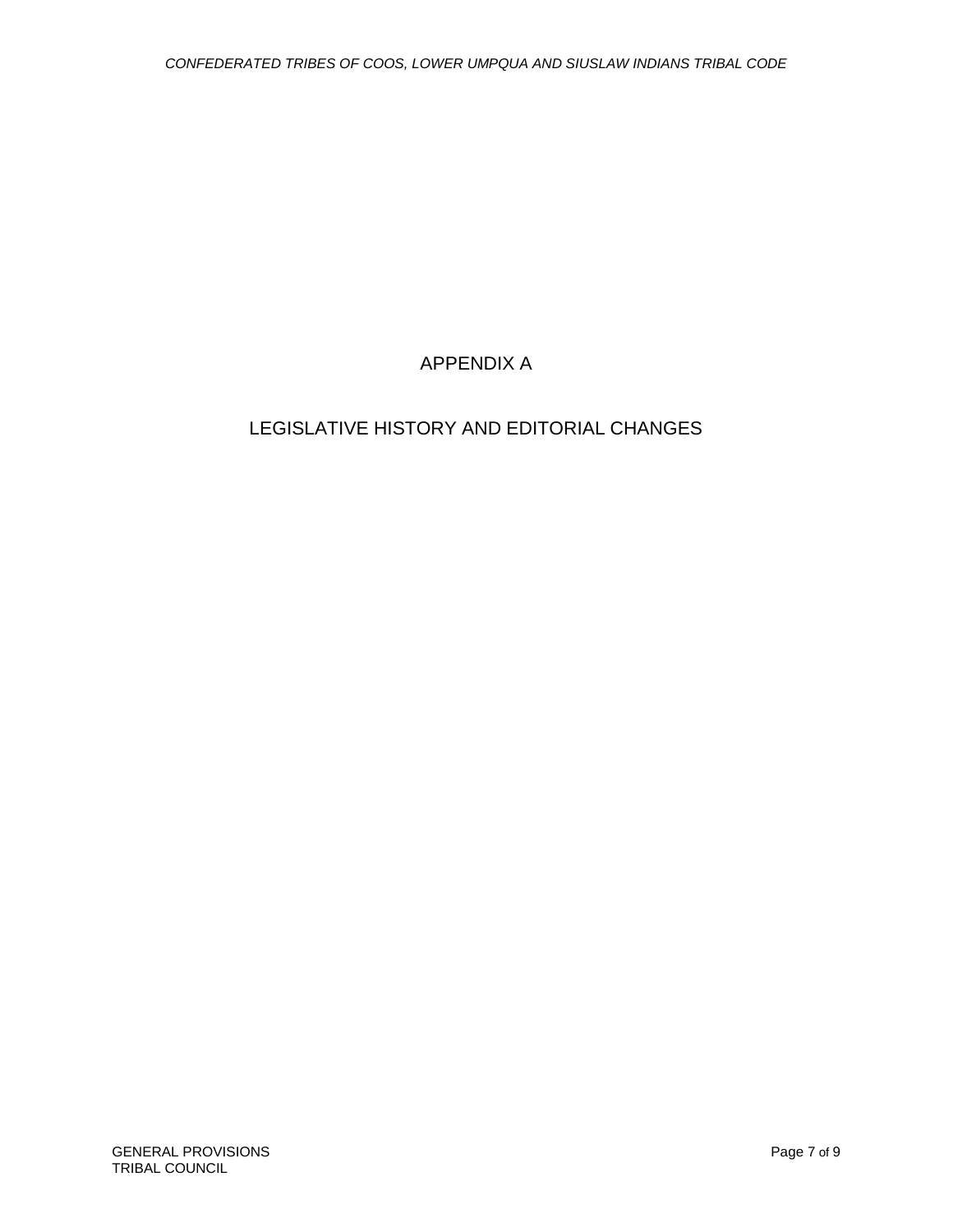# APPENDIX A

# LEGISLATIVE HISTORY AND EDITORIAL CHANGES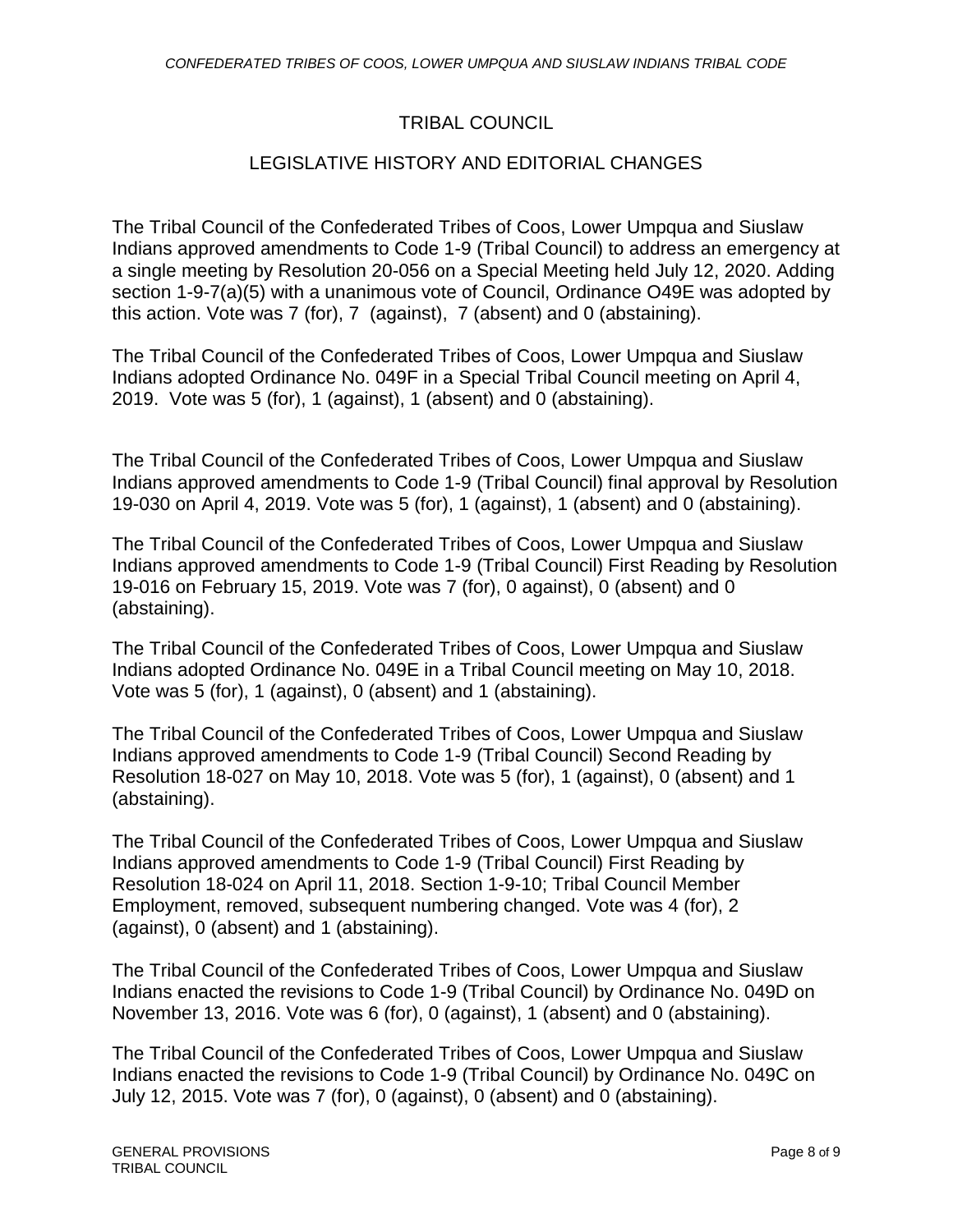# TRIBAL COUNCIL

# LEGISLATIVE HISTORY AND EDITORIAL CHANGES

The Tribal Council of the Confederated Tribes of Coos, Lower Umpqua and Siuslaw Indians approved amendments to Code 1-9 (Tribal Council) to address an emergency at a single meeting by Resolution 20-056 on a Special Meeting held July 12, 2020. Adding section 1-9-7(a)(5) with a unanimous vote of Council, Ordinance O49E was adopted by this action. Vote was 7 (for), 7 (against), 7 (absent) and 0 (abstaining).

The Tribal Council of the Confederated Tribes of Coos, Lower Umpqua and Siuslaw Indians adopted Ordinance No. 049F in a Special Tribal Council meeting on April 4, 2019. Vote was 5 (for), 1 (against), 1 (absent) and 0 (abstaining).

The Tribal Council of the Confederated Tribes of Coos, Lower Umpqua and Siuslaw Indians approved amendments to Code 1-9 (Tribal Council) final approval by Resolution 19-030 on April 4, 2019. Vote was 5 (for), 1 (against), 1 (absent) and 0 (abstaining).

The Tribal Council of the Confederated Tribes of Coos, Lower Umpqua and Siuslaw Indians approved amendments to Code 1-9 (Tribal Council) First Reading by Resolution 19-016 on February 15, 2019. Vote was 7 (for), 0 against), 0 (absent) and 0 (abstaining).

The Tribal Council of the Confederated Tribes of Coos, Lower Umpqua and Siuslaw Indians adopted Ordinance No. 049E in a Tribal Council meeting on May 10, 2018. Vote was 5 (for), 1 (against), 0 (absent) and 1 (abstaining).

The Tribal Council of the Confederated Tribes of Coos, Lower Umpqua and Siuslaw Indians approved amendments to Code 1-9 (Tribal Council) Second Reading by Resolution 18-027 on May 10, 2018. Vote was 5 (for), 1 (against), 0 (absent) and 1 (abstaining).

The Tribal Council of the Confederated Tribes of Coos, Lower Umpqua and Siuslaw Indians approved amendments to Code 1-9 (Tribal Council) First Reading by Resolution 18-024 on April 11, 2018. Section 1-9-10; Tribal Council Member Employment, removed, subsequent numbering changed. Vote was 4 (for), 2 (against), 0 (absent) and 1 (abstaining).

The Tribal Council of the Confederated Tribes of Coos, Lower Umpqua and Siuslaw Indians enacted the revisions to Code 1-9 (Tribal Council) by Ordinance No. 049D on November 13, 2016. Vote was 6 (for), 0 (against), 1 (absent) and 0 (abstaining).

The Tribal Council of the Confederated Tribes of Coos, Lower Umpqua and Siuslaw Indians enacted the revisions to Code 1-9 (Tribal Council) by Ordinance No. 049C on July 12, 2015. Vote was 7 (for), 0 (against), 0 (absent) and 0 (abstaining).